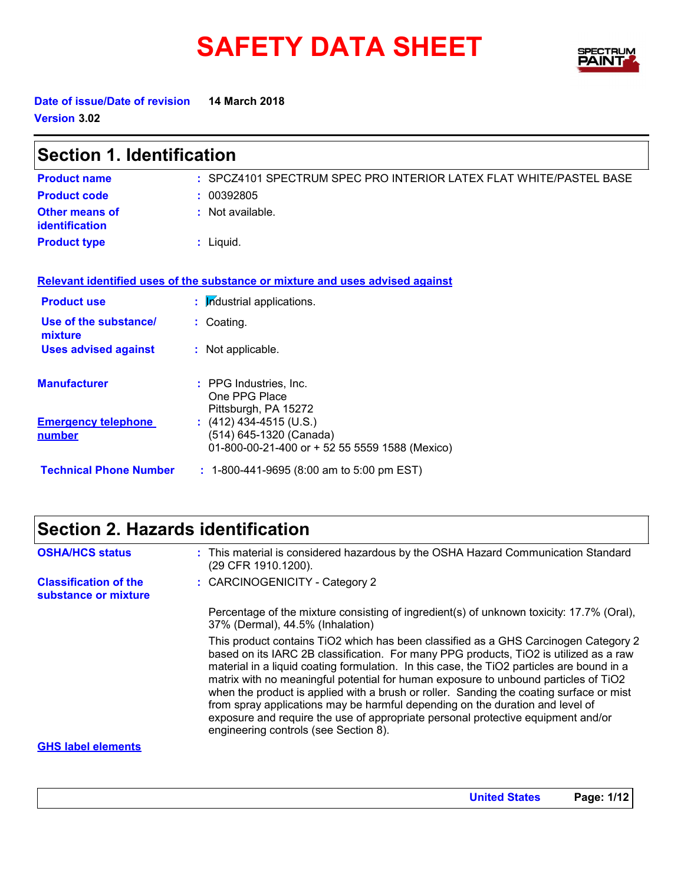# SAFETY DATA SHEET SPECTRY



**Date of issue/Date of revision 14 March 2018 Version 3.02**

| <b>Section 1. Identification</b>        |                                                                                                        |  |
|-----------------------------------------|--------------------------------------------------------------------------------------------------------|--|
| <b>Product name</b>                     | : SPCZ4101 SPECTRUM SPEC PRO INTERIOR LATEX FLAT WHITE/PASTEL BASE                                     |  |
| <b>Product code</b>                     | : 00392805                                                                                             |  |
| <b>Other means of</b><br>identification | : Not available.                                                                                       |  |
| <b>Product type</b>                     | $:$ Liquid.                                                                                            |  |
|                                         | Relevant identified uses of the substance or mixture and uses advised against                          |  |
| <b>Product use</b>                      | : Industrial applications.                                                                             |  |
| Use of the substance/<br>mixture        | : Coating.                                                                                             |  |
| <b>Uses advised against</b>             | : Not applicable.                                                                                      |  |
| <b>Manufacturer</b>                     | : PPG Industries, Inc.<br>One PPG Place<br>Pittsburgh, PA 15272                                        |  |
| <b>Emergency telephone</b><br>number    | : $(412)$ 434-4515 (U.S.)<br>(514) 645-1320 (Canada)<br>01-800-00-21-400 or + 52 55 5559 1588 (Mexico) |  |
| <b>Technical Phone Number</b>           | : 1-800-441-9695 (8:00 am to 5:00 pm EST)                                                              |  |

## **Section 2. Hazards identification**

| <b>OSHA/HCS status</b>                               | : This material is considered hazardous by the OSHA Hazard Communication Standard<br>(29 CFR 1910.1200).                                                                                                                                                                                                                                                                                                                                                                                                                                                                                                                                                                  |
|------------------------------------------------------|---------------------------------------------------------------------------------------------------------------------------------------------------------------------------------------------------------------------------------------------------------------------------------------------------------------------------------------------------------------------------------------------------------------------------------------------------------------------------------------------------------------------------------------------------------------------------------------------------------------------------------------------------------------------------|
| <b>Classification of the</b><br>substance or mixture | : CARCINOGENICITY - Category 2                                                                                                                                                                                                                                                                                                                                                                                                                                                                                                                                                                                                                                            |
|                                                      | Percentage of the mixture consisting of ingredient(s) of unknown toxicity: 17.7% (Oral),<br>37% (Dermal), 44.5% (Inhalation)                                                                                                                                                                                                                                                                                                                                                                                                                                                                                                                                              |
|                                                      | This product contains TiO2 which has been classified as a GHS Carcinogen Category 2<br>based on its IARC 2B classification. For many PPG products, TiO2 is utilized as a raw<br>material in a liquid coating formulation. In this case, the TiO2 particles are bound in a<br>matrix with no meaningful potential for human exposure to unbound particles of TiO2<br>when the product is applied with a brush or roller. Sanding the coating surface or mist<br>from spray applications may be harmful depending on the duration and level of<br>exposure and require the use of appropriate personal protective equipment and/or<br>engineering controls (see Section 8). |
| <b>GHS label elements</b>                            |                                                                                                                                                                                                                                                                                                                                                                                                                                                                                                                                                                                                                                                                           |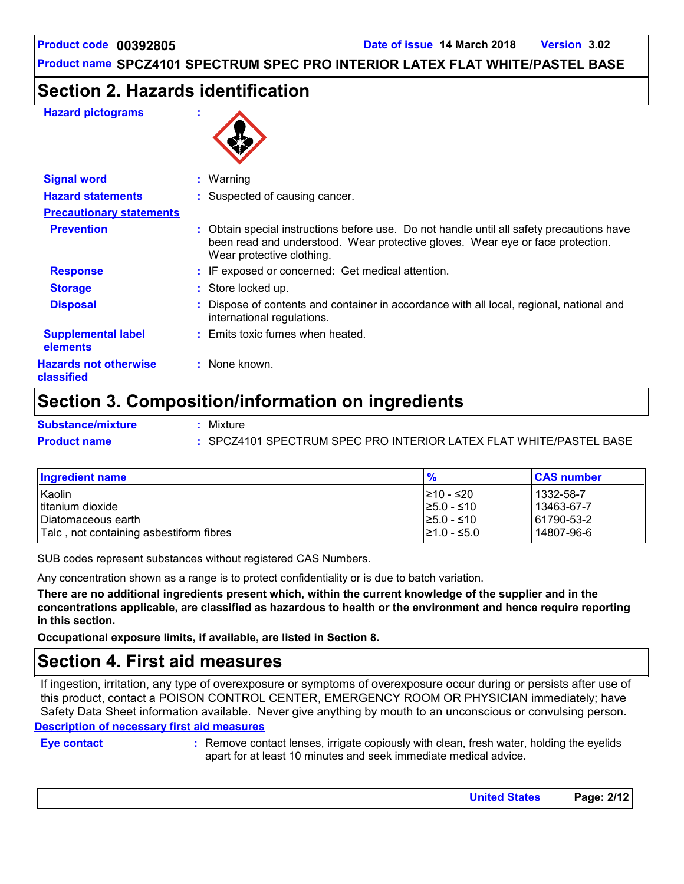## **Section 2. Hazards identification**

#### **Hazard pictograms :**



| <b>Signal word</b>                         | $:$ Warning                                                                                                                                                                                              |  |
|--------------------------------------------|----------------------------------------------------------------------------------------------------------------------------------------------------------------------------------------------------------|--|
| <b>Hazard statements</b>                   | : Suspected of causing cancer.                                                                                                                                                                           |  |
| <b>Precautionary statements</b>            |                                                                                                                                                                                                          |  |
| <b>Prevention</b>                          | : Obtain special instructions before use. Do not handle until all safety precautions have<br>been read and understood. Wear protective gloves. Wear eye or face protection.<br>Wear protective clothing. |  |
| <b>Response</b>                            | : IF exposed or concerned: Get medical attention.                                                                                                                                                        |  |
| <b>Storage</b>                             | : Store locked up.                                                                                                                                                                                       |  |
| <b>Disposal</b>                            | Dispose of contents and container in accordance with all local, regional, national and<br>international regulations.                                                                                     |  |
| <b>Supplemental label</b><br>elements      | : Emits toxic fumes when heated.                                                                                                                                                                         |  |
| <b>Hazards not otherwise</b><br>classified | : None known.                                                                                                                                                                                            |  |
|                                            |                                                                                                                                                                                                          |  |

## **Section 3. Composition/information on ingredients**

| <b>Substance/mixture</b> | Mixture                                                          |
|--------------------------|------------------------------------------------------------------|
| <b>Product name</b>      | SPCZ4101 SPECTRUM SPEC PRO INTERIOR LATEX FLAT WHITE/PASTEL BASE |

| <b>Ingredient name</b>                  | $\frac{9}{6}$    | <b>CAS number</b> |
|-----------------------------------------|------------------|-------------------|
| Kaolin                                  | I≥10 - ≤20       | 1332-58-7         |
| titanium dioxide                        | $\geq 5.0$ - ≤10 | 13463-67-7        |
| Diatomaceous earth                      | $\geq 5.0 - 510$ | 61790-53-2        |
| Talc, not containing asbestiform fibres | $\geq 1.0 - 5.0$ | 14807-96-6        |

SUB codes represent substances without registered CAS Numbers.

Any concentration shown as a range is to protect confidentiality or is due to batch variation.

**There are no additional ingredients present which, within the current knowledge of the supplier and in the concentrations applicable, are classified as hazardous to health or the environment and hence require reporting in this section.**

**Occupational exposure limits, if available, are listed in Section 8.**

## **Section 4. First aid measures**

**Description of necessary first aid measures** If ingestion, irritation, any type of overexposure or symptoms of overexposure occur during or persists after use of this product, contact a POISON CONTROL CENTER, EMERGENCY ROOM OR PHYSICIAN immediately; have Safety Data Sheet information available. Never give anything by mouth to an unconscious or convulsing person.

**Eye contact :**

Remove contact lenses, irrigate copiously with clean, fresh water, holding the eyelids apart for at least 10 minutes and seek immediate medical advice.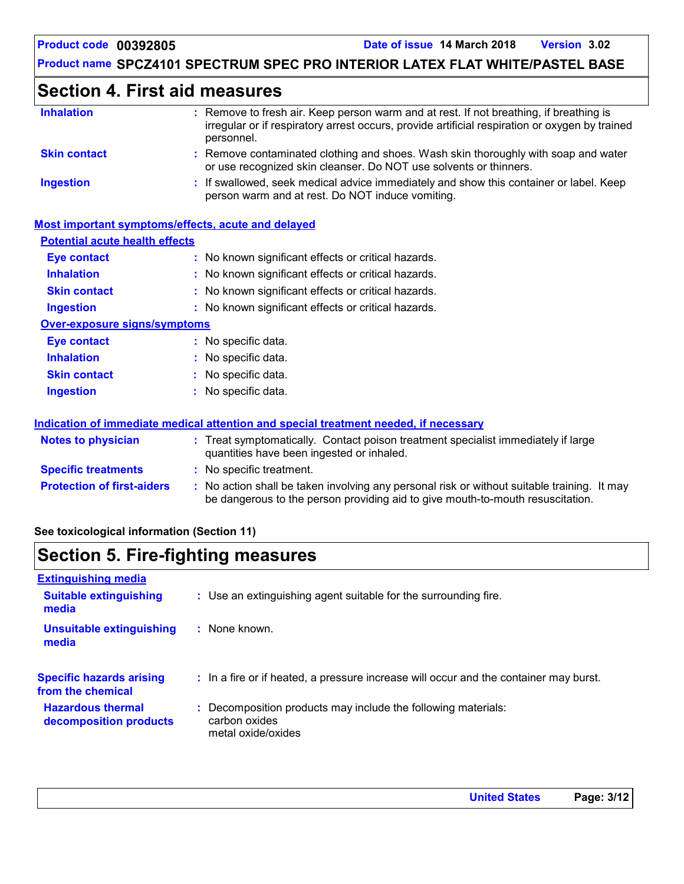## **Section 4. First aid measures**

| <b>Inhalation</b>                     | : Remove to fresh air. Keep person warm and at rest. If not breathing, if breathing is<br>irregular or if respiratory arrest occurs, provide artificial respiration or oxygen by trained<br>personnel. |
|---------------------------------------|--------------------------------------------------------------------------------------------------------------------------------------------------------------------------------------------------------|
| <b>Skin contact</b>                   | : Remove contaminated clothing and shoes. Wash skin thoroughly with soap and water<br>or use recognized skin cleanser. Do NOT use solvents or thinners.                                                |
| <b>Ingestion</b>                      | : If swallowed, seek medical advice immediately and show this container or label. Keep<br>person warm and at rest. Do NOT induce vomiting.                                                             |
|                                       | Most important symptoms/effects, acute and delayed                                                                                                                                                     |
| <b>Potential acute health effects</b> |                                                                                                                                                                                                        |
| Eye contact                           | : No known significant effects or critical hazards.                                                                                                                                                    |
| <b>Inhalation</b>                     | : No known significant effects or critical hazards.                                                                                                                                                    |
| <b>Skin contact</b>                   | : No known significant effects or critical hazards.                                                                                                                                                    |
| <b>Ingestion</b>                      | : No known significant effects or critical hazards.                                                                                                                                                    |
| <b>Over-exposure signs/symptoms</b>   |                                                                                                                                                                                                        |
| Eye contact                           | : No specific data.                                                                                                                                                                                    |
| <b>Inhalation</b>                     | : No specific data.                                                                                                                                                                                    |
| <b>Skin contact</b>                   | : No specific data.                                                                                                                                                                                    |
|                                       |                                                                                                                                                                                                        |

### **Protection of first-aiders :** No action shall be taken involving any personal risk or without suitable training. It may be dangerous to the person providing aid to give mouth-to-mouth resuscitation. **Notes to physician <b>:** Treat symptomatically. Contact poison treatment specialist immediately if large quantities have been ingested or inhaled. **Specific treatments :** No specific treatment. **Indication of immediate medical attention and special treatment needed, if necessary**

No specific data. **:**

#### **See toxicological information (Section 11)**

**Ingestion**

## **Section 5. Fire-fighting measures**

| <b>Extinguishing media</b>                           |                                                                                                      |
|------------------------------------------------------|------------------------------------------------------------------------------------------------------|
| <b>Suitable extinguishing</b><br>media               | : Use an extinguishing agent suitable for the surrounding fire.                                      |
| <b>Unsuitable extinguishing</b><br>media             | $:$ None known.                                                                                      |
| <b>Specific hazards arising</b><br>from the chemical | : In a fire or if heated, a pressure increase will occur and the container may burst.                |
| <b>Hazardous thermal</b><br>decomposition products   | : Decomposition products may include the following materials:<br>carbon oxides<br>metal oxide/oxides |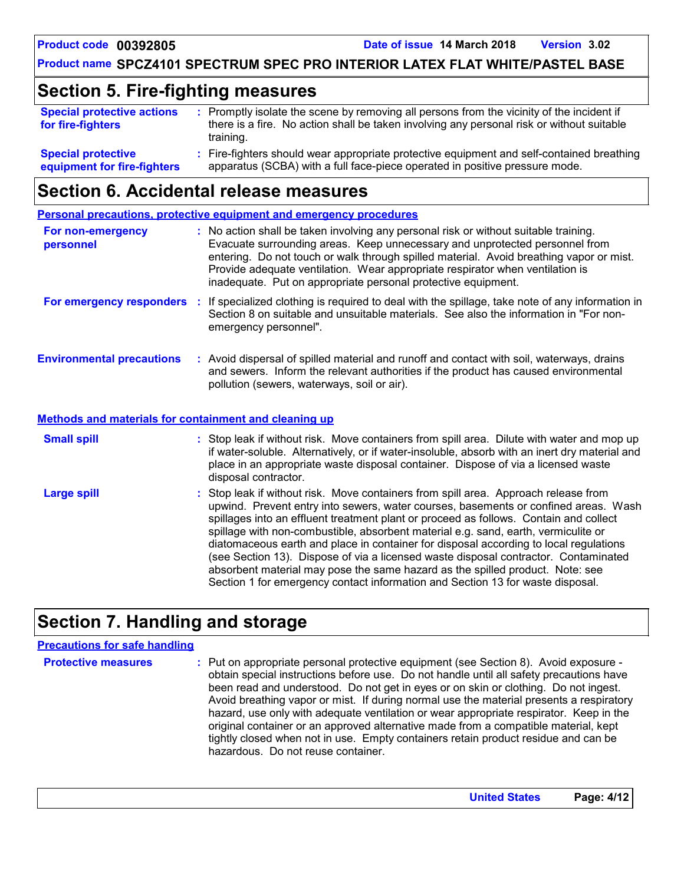## **Section 5. Fire-fighting measures**

| <b>Special protective actions</b><br>for fire-fighters | : Promptly isolate the scene by removing all persons from the vicinity of the incident if<br>there is a fire. No action shall be taken involving any personal risk or without suitable<br>training. |
|--------------------------------------------------------|-----------------------------------------------------------------------------------------------------------------------------------------------------------------------------------------------------|
| <b>Special protective</b>                              | : Fire-fighters should wear appropriate protective equipment and self-contained breathing                                                                                                           |
| equipment for fire-fighters                            | apparatus (SCBA) with a full face-piece operated in positive pressure mode.                                                                                                                         |

## **Section 6. Accidental release measures**

|                                                       | <b>Personal precautions, protective equipment and emergency procedures</b>                                                                                                                                                                                                                                                                                                                                                                                                                                                                                                                                                 |
|-------------------------------------------------------|----------------------------------------------------------------------------------------------------------------------------------------------------------------------------------------------------------------------------------------------------------------------------------------------------------------------------------------------------------------------------------------------------------------------------------------------------------------------------------------------------------------------------------------------------------------------------------------------------------------------------|
| For non-emergency<br>personnel                        | : No action shall be taken involving any personal risk or without suitable training.<br>Evacuate surrounding areas. Keep unnecessary and unprotected personnel from<br>entering. Do not touch or walk through spilled material. Avoid breathing vapor or mist.<br>Provide adequate ventilation. Wear appropriate respirator when ventilation is<br>inadequate. Put on appropriate personal protective equipment.                                                                                                                                                                                                           |
|                                                       | For emergency responders : If specialized clothing is required to deal with the spillage, take note of any information in<br>Section 8 on suitable and unsuitable materials. See also the information in "For non-<br>emergency personnel".                                                                                                                                                                                                                                                                                                                                                                                |
| <b>Environmental precautions</b>                      | : Avoid dispersal of spilled material and runoff and contact with soil, waterways, drains<br>and sewers. Inform the relevant authorities if the product has caused environmental<br>pollution (sewers, waterways, soil or air).                                                                                                                                                                                                                                                                                                                                                                                            |
| Methods and materials for containment and cleaning up |                                                                                                                                                                                                                                                                                                                                                                                                                                                                                                                                                                                                                            |
| <b>Small spill</b>                                    | : Stop leak if without risk. Move containers from spill area. Dilute with water and mop up<br>if water-soluble. Alternatively, or if water-insoluble, absorb with an inert dry material and<br>place in an appropriate waste disposal container. Dispose of via a licensed waste<br>disposal contractor.                                                                                                                                                                                                                                                                                                                   |
| <b>Large spill</b>                                    | : Stop leak if without risk. Move containers from spill area. Approach release from<br>upwind. Prevent entry into sewers, water courses, basements or confined areas. Wash<br>spillages into an effluent treatment plant or proceed as follows. Contain and collect<br>spillage with non-combustible, absorbent material e.g. sand, earth, vermiculite or<br>diatomaceous earth and place in container for disposal according to local regulations<br>(see Section 13). Dispose of via a licensed waste disposal contractor. Contaminated<br>absorbent material may pose the same hazard as the spilled product. Note: see |

## **Section 7. Handling and storage**

| <b>Precautions for safe handling</b> |                                                                                                                                                                                                                                                                                                                                                                                                                                                                                                                                                                                                                                                                                |
|--------------------------------------|--------------------------------------------------------------------------------------------------------------------------------------------------------------------------------------------------------------------------------------------------------------------------------------------------------------------------------------------------------------------------------------------------------------------------------------------------------------------------------------------------------------------------------------------------------------------------------------------------------------------------------------------------------------------------------|
| <b>Protective measures</b>           | : Put on appropriate personal protective equipment (see Section 8). Avoid exposure -<br>obtain special instructions before use. Do not handle until all safety precautions have<br>been read and understood. Do not get in eyes or on skin or clothing. Do not ingest.<br>Avoid breathing vapor or mist. If during normal use the material presents a respiratory<br>hazard, use only with adequate ventilation or wear appropriate respirator. Keep in the<br>original container or an approved alternative made from a compatible material, kept<br>tightly closed when not in use. Empty containers retain product residue and can be<br>hazardous. Do not reuse container. |

Section 1 for emergency contact information and Section 13 for waste disposal.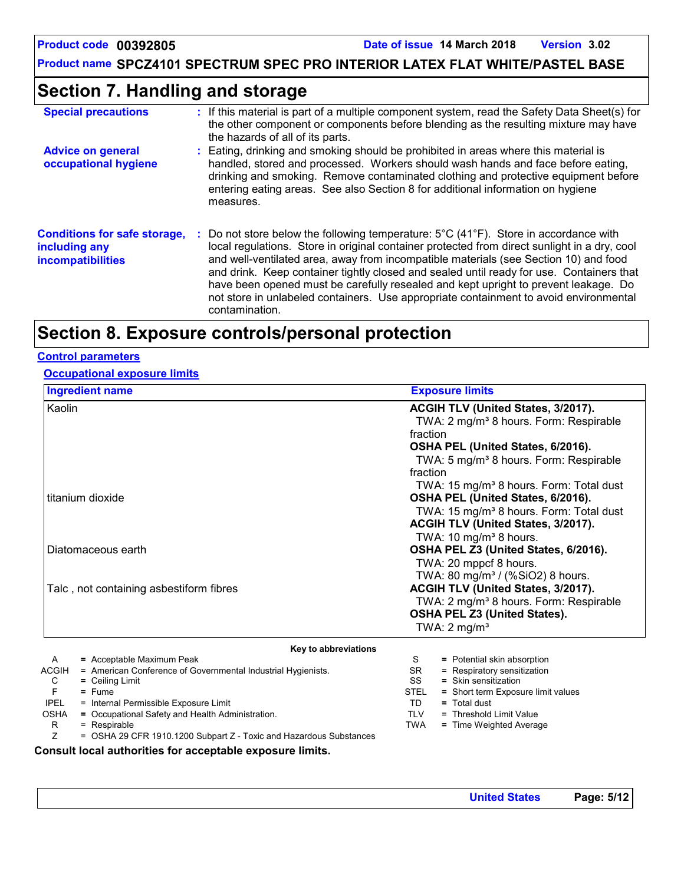**Product code 00392805 Date of issue 14 March 2018 Version 3.02**

**Product name SPCZ4101 SPECTRUM SPEC PRO INTERIOR LATEX FLAT WHITE/PASTEL BASE**

## **Section 7. Handling and storage**

| <b>Special precautions</b>                                                       | : If this material is part of a multiple component system, read the Safety Data Sheet(s) for<br>the other component or components before blending as the resulting mixture may have<br>the hazards of all of its parts.                                                                                                                                                                                                                                                                                                                                                                         |
|----------------------------------------------------------------------------------|-------------------------------------------------------------------------------------------------------------------------------------------------------------------------------------------------------------------------------------------------------------------------------------------------------------------------------------------------------------------------------------------------------------------------------------------------------------------------------------------------------------------------------------------------------------------------------------------------|
| <b>Advice on general</b><br>occupational hygiene                                 | : Eating, drinking and smoking should be prohibited in areas where this material is<br>handled, stored and processed. Workers should wash hands and face before eating,<br>drinking and smoking. Remove contaminated clothing and protective equipment before<br>entering eating areas. See also Section 8 for additional information on hygiene<br>measures.                                                                                                                                                                                                                                   |
| <b>Conditions for safe storage,</b><br>including any<br><b>incompatibilities</b> | Do not store below the following temperature: $5^{\circ}$ C (41 <sup>°</sup> F). Store in accordance with<br>local regulations. Store in original container protected from direct sunlight in a dry, cool<br>and well-ventilated area, away from incompatible materials (see Section 10) and food<br>and drink. Keep container tightly closed and sealed until ready for use. Containers that<br>have been opened must be carefully resealed and kept upright to prevent leakage. Do<br>not store in unlabeled containers. Use appropriate containment to avoid environmental<br>contamination. |

## **Section 8. Exposure controls/personal protection**

#### **Control parameters**

#### **Occupational exposure limits**

| <b>Ingredient name</b>                                                 | <b>Exposure limits</b>                              |
|------------------------------------------------------------------------|-----------------------------------------------------|
| Kaolin                                                                 | ACGIH TLV (United States, 3/2017).                  |
|                                                                        | TWA: 2 mg/m <sup>3</sup> 8 hours. Form: Respirable  |
|                                                                        | fraction                                            |
|                                                                        | OSHA PEL (United States, 6/2016).                   |
|                                                                        | TWA: 5 mg/m <sup>3</sup> 8 hours. Form: Respirable  |
|                                                                        | fraction                                            |
|                                                                        | TWA: 15 mg/m <sup>3</sup> 8 hours. Form: Total dust |
| l titanium dioxide                                                     | OSHA PEL (United States, 6/2016).                   |
|                                                                        | TWA: 15 mg/m <sup>3</sup> 8 hours. Form: Total dust |
|                                                                        | ACGIH TLV (United States, 3/2017).                  |
|                                                                        | TWA: 10 mg/m <sup>3</sup> 8 hours.                  |
| Diatomaceous earth                                                     | OSHA PEL Z3 (United States, 6/2016).                |
|                                                                        | TWA: 20 mppcf 8 hours.                              |
|                                                                        | TWA: 80 mg/m <sup>3</sup> / (%SiO2) 8 hours.        |
| Talc, not containing asbestiform fibres                                | <b>ACGIH TLV (United States, 3/2017).</b>           |
|                                                                        | TWA: 2 mg/m <sup>3</sup> 8 hours. Form: Respirable  |
|                                                                        | <b>OSHA PEL Z3 (United States).</b>                 |
|                                                                        | TWA: $2 \text{ mg/m}^3$                             |
| Key to abbreviations                                                   |                                                     |
| = Acceptable Maximum Peak<br>A                                         | = Potential skin absorption<br>S                    |
| ACGIH<br>$=$ American Conference of Governmental Industrial Hygienists | SR<br>$=$ Respiratory sensitization                 |

| ACGIH       | = American Conference of Governmental Industrial Hygienists.         | SR          | = Respiratory sensitization        |
|-------------|----------------------------------------------------------------------|-------------|------------------------------------|
|             | $=$ Ceiling Limit                                                    | SS          | $=$ Skin sensitization             |
|             | $=$ Fume                                                             | <b>STEL</b> | = Short term Exposure limit values |
| <b>IPEL</b> | = Internal Permissible Exposure Limit                                | TD          | $=$ Total dust                     |
| OSHA        | = Occupational Safety and Health Administration.                     | TI V        | = Threshold Limit Value            |
| R           | $=$ Respirable                                                       | TWA         | = Time Weighted Average            |
|             | $=$ OSHA 29 CFR 1910.1200 Subpart Z - Toxic and Hazardous Substances |             |                                    |

#### **Consult local authorities for acceptable exposure limits.**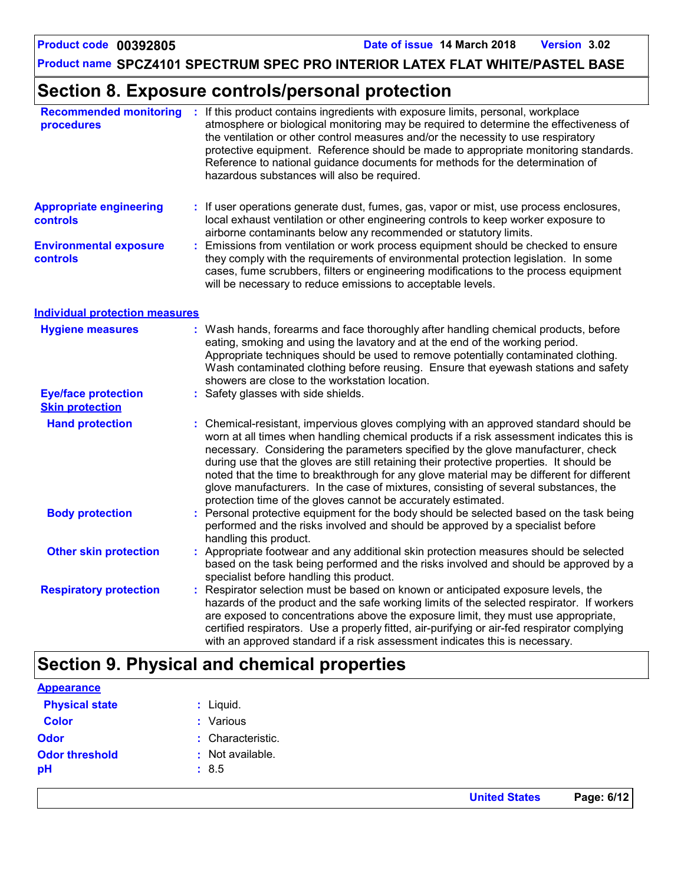### **Section 8. Exposure controls/personal protection**

| <b>Recommended monitoring</b><br>procedures          | : If this product contains ingredients with exposure limits, personal, workplace<br>atmosphere or biological monitoring may be required to determine the effectiveness of<br>the ventilation or other control measures and/or the necessity to use respiratory<br>protective equipment. Reference should be made to appropriate monitoring standards.<br>Reference to national guidance documents for methods for the determination of<br>hazardous substances will also be required.                                                                                                                                |  |  |
|------------------------------------------------------|----------------------------------------------------------------------------------------------------------------------------------------------------------------------------------------------------------------------------------------------------------------------------------------------------------------------------------------------------------------------------------------------------------------------------------------------------------------------------------------------------------------------------------------------------------------------------------------------------------------------|--|--|
| <b>Appropriate engineering</b><br><b>controls</b>    | If user operations generate dust, fumes, gas, vapor or mist, use process enclosures,<br>local exhaust ventilation or other engineering controls to keep worker exposure to<br>airborne contaminants below any recommended or statutory limits.                                                                                                                                                                                                                                                                                                                                                                       |  |  |
| <b>Environmental exposure</b><br>controls            | Emissions from ventilation or work process equipment should be checked to ensure<br>they comply with the requirements of environmental protection legislation. In some<br>cases, fume scrubbers, filters or engineering modifications to the process equipment<br>will be necessary to reduce emissions to acceptable levels.                                                                                                                                                                                                                                                                                        |  |  |
| <b>Individual protection measures</b>                |                                                                                                                                                                                                                                                                                                                                                                                                                                                                                                                                                                                                                      |  |  |
| <b>Hygiene measures</b>                              | Wash hands, forearms and face thoroughly after handling chemical products, before<br>eating, smoking and using the lavatory and at the end of the working period.<br>Appropriate techniques should be used to remove potentially contaminated clothing.<br>Wash contaminated clothing before reusing. Ensure that eyewash stations and safety<br>showers are close to the workstation location.                                                                                                                                                                                                                      |  |  |
| <b>Eye/face protection</b><br><b>Skin protection</b> | Safety glasses with side shields.                                                                                                                                                                                                                                                                                                                                                                                                                                                                                                                                                                                    |  |  |
| <b>Hand protection</b>                               | Chemical-resistant, impervious gloves complying with an approved standard should be<br>worn at all times when handling chemical products if a risk assessment indicates this is<br>necessary. Considering the parameters specified by the glove manufacturer, check<br>during use that the gloves are still retaining their protective properties. It should be<br>noted that the time to breakthrough for any glove material may be different for different<br>glove manufacturers. In the case of mixtures, consisting of several substances, the<br>protection time of the gloves cannot be accurately estimated. |  |  |
| <b>Body protection</b>                               | Personal protective equipment for the body should be selected based on the task being<br>performed and the risks involved and should be approved by a specialist before<br>handling this product.                                                                                                                                                                                                                                                                                                                                                                                                                    |  |  |
| <b>Other skin protection</b>                         | Appropriate footwear and any additional skin protection measures should be selected<br>based on the task being performed and the risks involved and should be approved by a<br>specialist before handling this product.                                                                                                                                                                                                                                                                                                                                                                                              |  |  |
| <b>Respiratory protection</b>                        | Respirator selection must be based on known or anticipated exposure levels, the<br>hazards of the product and the safe working limits of the selected respirator. If workers<br>are exposed to concentrations above the exposure limit, they must use appropriate,<br>certified respirators. Use a properly fitted, air-purifying or air-fed respirator complying<br>with an approved standard if a risk assessment indicates this is necessary.                                                                                                                                                                     |  |  |

## **Section 9. Physical and chemical properties**

| <b>Appearance</b>     |                      |
|-----------------------|----------------------|
| <b>Physical state</b> | $:$ Liquid.          |
| <b>Color</b>          | Various<br>÷.        |
| <b>Odor</b>           | : Characteristic.    |
| <b>Odor threshold</b> | Not available.<br>п. |
| pH                    | : 8.5                |
|                       |                      |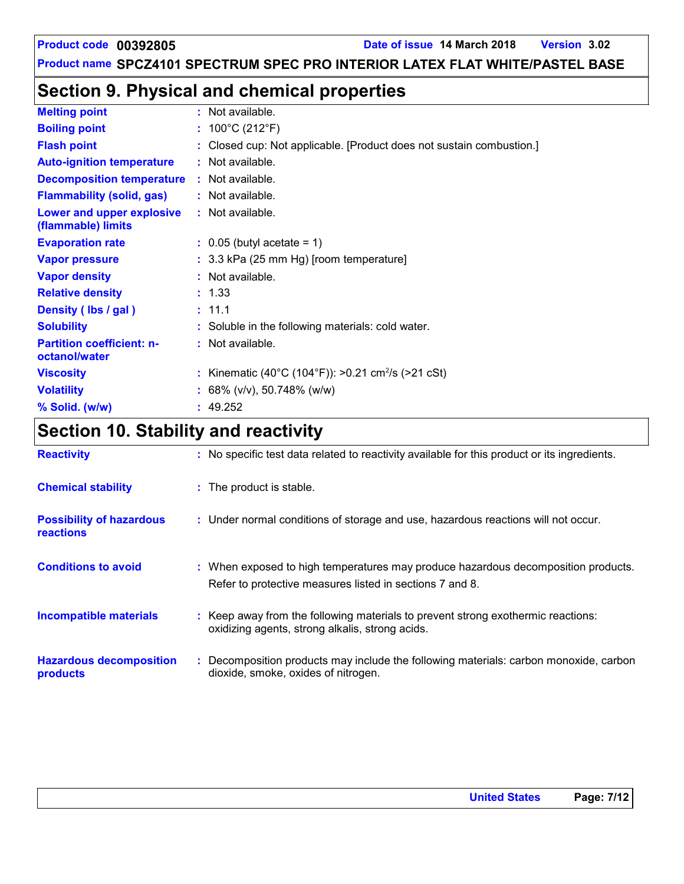## **Section 9. Physical and chemical properties**

| <b>Melting point</b>                              | : Not available.                                                     |
|---------------------------------------------------|----------------------------------------------------------------------|
| <b>Boiling point</b>                              | : $100^{\circ}$ C (212 $^{\circ}$ F)                                 |
| <b>Flash point</b>                                | : Closed cup: Not applicable. [Product does not sustain combustion.] |
| <b>Auto-ignition temperature</b>                  | : Not available.                                                     |
| <b>Decomposition temperature</b>                  | $:$ Not available.                                                   |
| <b>Flammability (solid, gas)</b>                  | : Not available.                                                     |
| Lower and upper explosive<br>(flammable) limits   | $:$ Not available.                                                   |
| <b>Evaporation rate</b>                           | $\therefore$ 0.05 (butyl acetate = 1)                                |
| <b>Vapor pressure</b>                             | : 3.3 kPa (25 mm Hg) [room temperature]                              |
| <b>Vapor density</b>                              | : Not available.                                                     |
| <b>Relative density</b>                           | : 1.33                                                               |
| Density (lbs / gal)                               | : 11.1                                                               |
| <b>Solubility</b>                                 | : Soluble in the following materials: cold water.                    |
| <b>Partition coefficient: n-</b><br>octanol/water | $:$ Not available.                                                   |
| <b>Viscosity</b>                                  | : Kinematic (40°C (104°F)): >0.21 cm <sup>2</sup> /s (>21 cSt)       |
| <b>Volatility</b>                                 | : 68% (v/v), 50.748% (w/w)                                           |
| % Solid. (w/w)                                    | : 49.252                                                             |

## **Section 10. Stability and reactivity**

| <b>Reactivity</b>                                   | : No specific test data related to reactivity available for this product or its ingredients.                                                  |
|-----------------------------------------------------|-----------------------------------------------------------------------------------------------------------------------------------------------|
| <b>Chemical stability</b>                           | : The product is stable.                                                                                                                      |
| <b>Possibility of hazardous</b><br><b>reactions</b> | : Under normal conditions of storage and use, hazardous reactions will not occur.                                                             |
| <b>Conditions to avoid</b>                          | : When exposed to high temperatures may produce hazardous decomposition products.<br>Refer to protective measures listed in sections 7 and 8. |
| Incompatible materials                              | : Keep away from the following materials to prevent strong exothermic reactions:<br>oxidizing agents, strong alkalis, strong acids.           |
| <b>Hazardous decomposition</b><br>products          | : Decomposition products may include the following materials: carbon monoxide, carbon<br>dioxide, smoke, oxides of nitrogen.                  |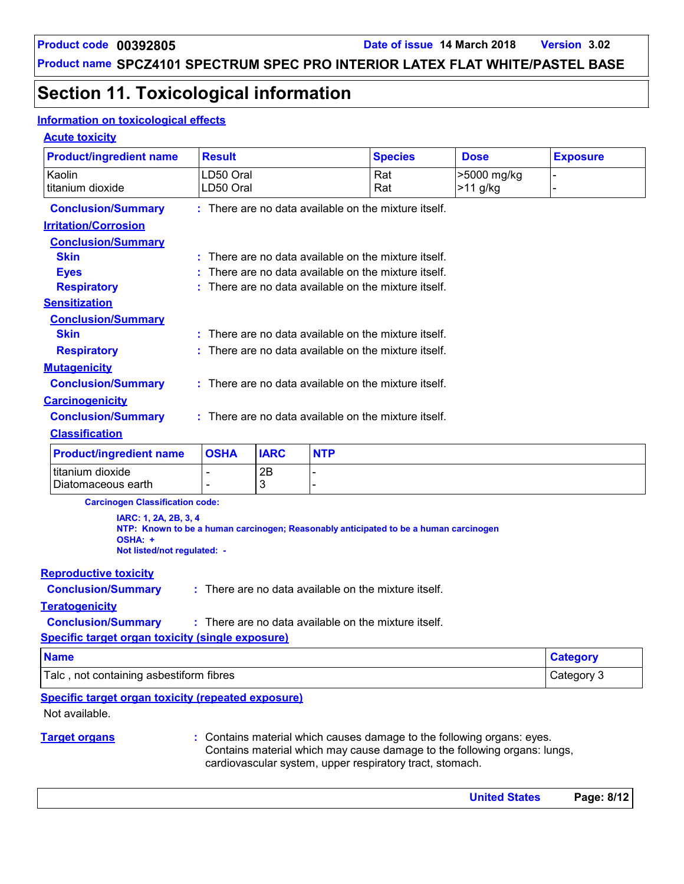**United States Page: 8/12**

**Product name SPCZ4101 SPECTRUM SPEC PRO INTERIOR LATEX FLAT WHITE/PASTEL BASE**

## **Section 11. Toxicological information**

### **Information on toxicological effects**

#### **Acute toxicity**

| <b>Product/ingredient name</b>                                                                                                                                                                                                         | <b>Result</b>                                        |             |            | <b>Species</b>                                       | <b>Dose</b>               | <b>Exposure</b> |  |
|----------------------------------------------------------------------------------------------------------------------------------------------------------------------------------------------------------------------------------------|------------------------------------------------------|-------------|------------|------------------------------------------------------|---------------------------|-----------------|--|
| Kaolin<br>titanium dioxide                                                                                                                                                                                                             | LD50 Oral<br>LD50 Oral                               |             |            | Rat<br>Rat                                           | >5000 mg/kg<br>$>11$ g/kg |                 |  |
| <b>Conclusion/Summary</b>                                                                                                                                                                                                              | : There are no data available on the mixture itself. |             |            |                                                      |                           |                 |  |
| <b>Irritation/Corrosion</b>                                                                                                                                                                                                            |                                                      |             |            |                                                      |                           |                 |  |
| <b>Conclusion/Summary</b>                                                                                                                                                                                                              |                                                      |             |            |                                                      |                           |                 |  |
| <b>Skin</b>                                                                                                                                                                                                                            |                                                      |             |            | There are no data available on the mixture itself.   |                           |                 |  |
| <b>Eyes</b>                                                                                                                                                                                                                            |                                                      |             |            | There are no data available on the mixture itself.   |                           |                 |  |
| <b>Respiratory</b>                                                                                                                                                                                                                     |                                                      |             |            | There are no data available on the mixture itself.   |                           |                 |  |
| <b>Sensitization</b>                                                                                                                                                                                                                   |                                                      |             |            |                                                      |                           |                 |  |
| <b>Conclusion/Summary</b>                                                                                                                                                                                                              |                                                      |             |            |                                                      |                           |                 |  |
| <b>Skin</b>                                                                                                                                                                                                                            |                                                      |             |            | There are no data available on the mixture itself.   |                           |                 |  |
| <b>Respiratory</b>                                                                                                                                                                                                                     |                                                      |             |            | There are no data available on the mixture itself.   |                           |                 |  |
| <b>Mutagenicity</b>                                                                                                                                                                                                                    |                                                      |             |            |                                                      |                           |                 |  |
| <b>Conclusion/Summary</b>                                                                                                                                                                                                              |                                                      |             |            | : There are no data available on the mixture itself. |                           |                 |  |
| <b>Carcinogenicity</b>                                                                                                                                                                                                                 |                                                      |             |            |                                                      |                           |                 |  |
| <b>Conclusion/Summary</b><br>: There are no data available on the mixture itself.                                                                                                                                                      |                                                      |             |            |                                                      |                           |                 |  |
| <b>Classification</b>                                                                                                                                                                                                                  |                                                      |             |            |                                                      |                           |                 |  |
| <b>Product/ingredient name</b>                                                                                                                                                                                                         | <b>OSHA</b>                                          | <b>IARC</b> | <b>NTP</b> |                                                      |                           |                 |  |
| titanium dioxide<br>Diatomaceous earth                                                                                                                                                                                                 | $\overline{\phantom{0}}$<br>$\overline{\phantom{0}}$ | 2B<br>3     |            |                                                      |                           |                 |  |
| <b>Carcinogen Classification code:</b>                                                                                                                                                                                                 |                                                      |             |            |                                                      |                           |                 |  |
| IARC: 1, 2A, 2B, 3, 4<br>NTP: Known to be a human carcinogen; Reasonably anticipated to be a human carcinogen<br>OSHA: +<br>Not listed/not regulated: -                                                                                |                                                      |             |            |                                                      |                           |                 |  |
| <b>Reproductive toxicity</b>                                                                                                                                                                                                           |                                                      |             |            |                                                      |                           |                 |  |
| <b>Conclusion/Summary</b>                                                                                                                                                                                                              |                                                      |             |            | : There are no data available on the mixture itself. |                           |                 |  |
| <b>Teratogenicity</b>                                                                                                                                                                                                                  |                                                      |             |            |                                                      |                           |                 |  |
| <b>Conclusion/Summary</b><br>: There are no data available on the mixture itself.                                                                                                                                                      |                                                      |             |            |                                                      |                           |                 |  |
| <b>Specific target organ toxicity (single exposure)</b>                                                                                                                                                                                |                                                      |             |            |                                                      |                           |                 |  |
| <b>Name</b>                                                                                                                                                                                                                            |                                                      |             |            |                                                      | <b>Category</b>           |                 |  |
| Talc, not containing asbestiform fibres<br>Category 3                                                                                                                                                                                  |                                                      |             |            |                                                      |                           |                 |  |
| <b>Specific target organ toxicity (repeated exposure)</b>                                                                                                                                                                              |                                                      |             |            |                                                      |                           |                 |  |
| Not available.                                                                                                                                                                                                                         |                                                      |             |            |                                                      |                           |                 |  |
| <b>Target organs</b><br>: Contains material which causes damage to the following organs: eyes.<br>Contains material which may cause damage to the following organs: lungs,<br>cardiovascular system, upper respiratory tract, stomach. |                                                      |             |            |                                                      |                           |                 |  |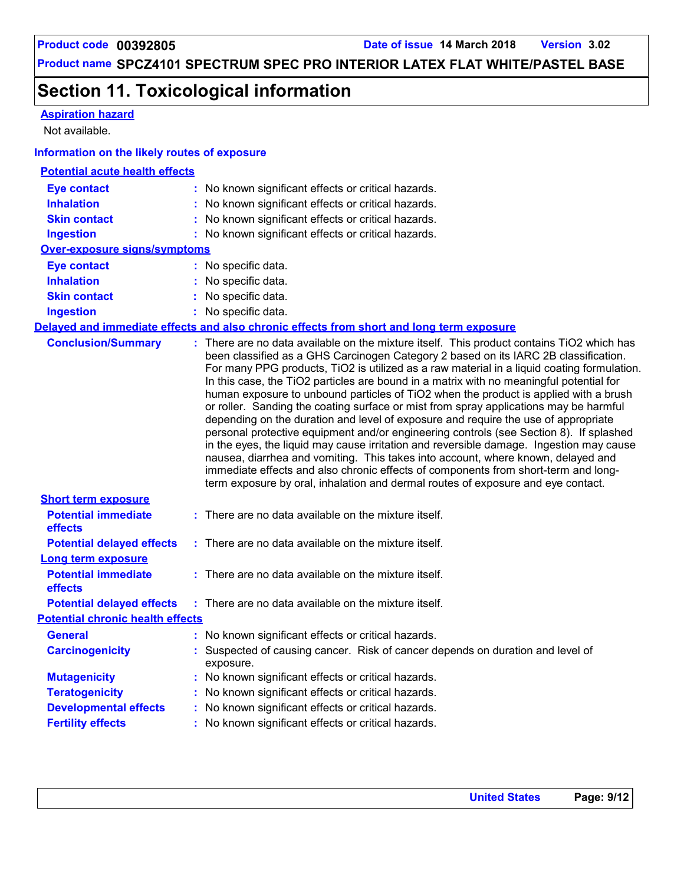## **Section 11. Toxicological information**

### **Aspiration hazard**

Not available.

### **Information on the likely routes of exposure**

| <b>Potential acute health effects</b>   |                                                                                                                                                                                                                                                                                                                                                                                                                                                                                                                                                                                                                                                                                                                                                                                                                                                                                                                                                                                                                                                                                                     |  |  |  |
|-----------------------------------------|-----------------------------------------------------------------------------------------------------------------------------------------------------------------------------------------------------------------------------------------------------------------------------------------------------------------------------------------------------------------------------------------------------------------------------------------------------------------------------------------------------------------------------------------------------------------------------------------------------------------------------------------------------------------------------------------------------------------------------------------------------------------------------------------------------------------------------------------------------------------------------------------------------------------------------------------------------------------------------------------------------------------------------------------------------------------------------------------------------|--|--|--|
| <b>Eye contact</b>                      | : No known significant effects or critical hazards.                                                                                                                                                                                                                                                                                                                                                                                                                                                                                                                                                                                                                                                                                                                                                                                                                                                                                                                                                                                                                                                 |  |  |  |
| <b>Inhalation</b>                       | : No known significant effects or critical hazards.                                                                                                                                                                                                                                                                                                                                                                                                                                                                                                                                                                                                                                                                                                                                                                                                                                                                                                                                                                                                                                                 |  |  |  |
| <b>Skin contact</b>                     | : No known significant effects or critical hazards.                                                                                                                                                                                                                                                                                                                                                                                                                                                                                                                                                                                                                                                                                                                                                                                                                                                                                                                                                                                                                                                 |  |  |  |
| <b>Ingestion</b>                        | : No known significant effects or critical hazards.                                                                                                                                                                                                                                                                                                                                                                                                                                                                                                                                                                                                                                                                                                                                                                                                                                                                                                                                                                                                                                                 |  |  |  |
| <b>Over-exposure signs/symptoms</b>     |                                                                                                                                                                                                                                                                                                                                                                                                                                                                                                                                                                                                                                                                                                                                                                                                                                                                                                                                                                                                                                                                                                     |  |  |  |
| <b>Eye contact</b>                      | : No specific data.                                                                                                                                                                                                                                                                                                                                                                                                                                                                                                                                                                                                                                                                                                                                                                                                                                                                                                                                                                                                                                                                                 |  |  |  |
| <b>Inhalation</b>                       | : No specific data.                                                                                                                                                                                                                                                                                                                                                                                                                                                                                                                                                                                                                                                                                                                                                                                                                                                                                                                                                                                                                                                                                 |  |  |  |
| <b>Skin contact</b>                     | : No specific data.                                                                                                                                                                                                                                                                                                                                                                                                                                                                                                                                                                                                                                                                                                                                                                                                                                                                                                                                                                                                                                                                                 |  |  |  |
| <b>Ingestion</b>                        | : No specific data.                                                                                                                                                                                                                                                                                                                                                                                                                                                                                                                                                                                                                                                                                                                                                                                                                                                                                                                                                                                                                                                                                 |  |  |  |
|                                         | Delayed and immediate effects and also chronic effects from short and long term exposure                                                                                                                                                                                                                                                                                                                                                                                                                                                                                                                                                                                                                                                                                                                                                                                                                                                                                                                                                                                                            |  |  |  |
| <b>Conclusion/Summary</b>               | : There are no data available on the mixture itself. This product contains TiO2 which has<br>been classified as a GHS Carcinogen Category 2 based on its IARC 2B classification.<br>For many PPG products, TiO2 is utilized as a raw material in a liquid coating formulation.<br>In this case, the TiO2 particles are bound in a matrix with no meaningful potential for<br>human exposure to unbound particles of TiO2 when the product is applied with a brush<br>or roller. Sanding the coating surface or mist from spray applications may be harmful<br>depending on the duration and level of exposure and require the use of appropriate<br>personal protective equipment and/or engineering controls (see Section 8). If splashed<br>in the eyes, the liquid may cause irritation and reversible damage. Ingestion may cause<br>nausea, diarrhea and vomiting. This takes into account, where known, delayed and<br>immediate effects and also chronic effects of components from short-term and long-<br>term exposure by oral, inhalation and dermal routes of exposure and eye contact. |  |  |  |
| <b>Short term exposure</b>              |                                                                                                                                                                                                                                                                                                                                                                                                                                                                                                                                                                                                                                                                                                                                                                                                                                                                                                                                                                                                                                                                                                     |  |  |  |
| <b>Potential immediate</b><br>effects   | $:$ There are no data available on the mixture itself.                                                                                                                                                                                                                                                                                                                                                                                                                                                                                                                                                                                                                                                                                                                                                                                                                                                                                                                                                                                                                                              |  |  |  |
| <b>Potential delayed effects</b>        | $:$ There are no data available on the mixture itself.                                                                                                                                                                                                                                                                                                                                                                                                                                                                                                                                                                                                                                                                                                                                                                                                                                                                                                                                                                                                                                              |  |  |  |
| <b>Long term exposure</b>               |                                                                                                                                                                                                                                                                                                                                                                                                                                                                                                                                                                                                                                                                                                                                                                                                                                                                                                                                                                                                                                                                                                     |  |  |  |
| <b>Potential immediate</b><br>effects   | $:$ There are no data available on the mixture itself.                                                                                                                                                                                                                                                                                                                                                                                                                                                                                                                                                                                                                                                                                                                                                                                                                                                                                                                                                                                                                                              |  |  |  |
| <b>Potential delayed effects</b>        | : There are no data available on the mixture itself.                                                                                                                                                                                                                                                                                                                                                                                                                                                                                                                                                                                                                                                                                                                                                                                                                                                                                                                                                                                                                                                |  |  |  |
| <b>Potential chronic health effects</b> |                                                                                                                                                                                                                                                                                                                                                                                                                                                                                                                                                                                                                                                                                                                                                                                                                                                                                                                                                                                                                                                                                                     |  |  |  |
| <b>General</b>                          | : No known significant effects or critical hazards.                                                                                                                                                                                                                                                                                                                                                                                                                                                                                                                                                                                                                                                                                                                                                                                                                                                                                                                                                                                                                                                 |  |  |  |
| <b>Carcinogenicity</b>                  | : Suspected of causing cancer. Risk of cancer depends on duration and level of<br>exposure.                                                                                                                                                                                                                                                                                                                                                                                                                                                                                                                                                                                                                                                                                                                                                                                                                                                                                                                                                                                                         |  |  |  |
| <b>Mutagenicity</b>                     | : No known significant effects or critical hazards.                                                                                                                                                                                                                                                                                                                                                                                                                                                                                                                                                                                                                                                                                                                                                                                                                                                                                                                                                                                                                                                 |  |  |  |
| <b>Teratogenicity</b>                   | : No known significant effects or critical hazards.                                                                                                                                                                                                                                                                                                                                                                                                                                                                                                                                                                                                                                                                                                                                                                                                                                                                                                                                                                                                                                                 |  |  |  |
| <b>Developmental effects</b>            | : No known significant effects or critical hazards.                                                                                                                                                                                                                                                                                                                                                                                                                                                                                                                                                                                                                                                                                                                                                                                                                                                                                                                                                                                                                                                 |  |  |  |
| <b>Fertility effects</b>                | : No known significant effects or critical hazards.                                                                                                                                                                                                                                                                                                                                                                                                                                                                                                                                                                                                                                                                                                                                                                                                                                                                                                                                                                                                                                                 |  |  |  |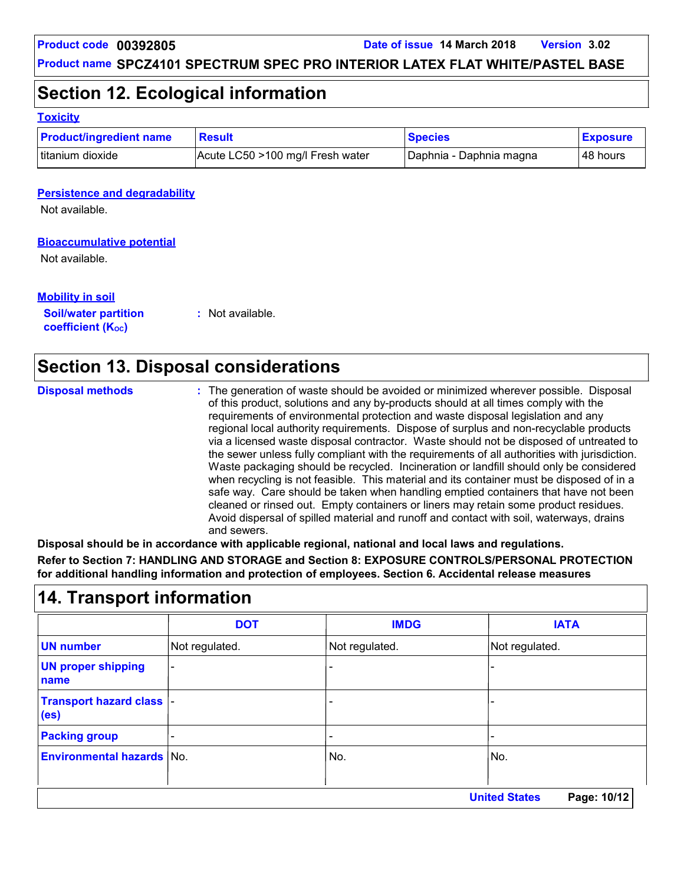## **Section 12. Ecological information**

#### **Toxicity**

| <b>Product/ingredient name</b> | <b>Result</b>                    | <b>Species</b>          | <b>Exposure</b> |
|--------------------------------|----------------------------------|-------------------------|-----------------|
| Ititanium dioxide              | Acute LC50 >100 mg/l Fresh water | Daphnia - Daphnia magna | l 48 hours      |

#### **Persistence and degradability**

Not available.

#### **Bioaccumulative potential**

Not available.

### **Mobility in soil**

**Soil/water partition coefficient (KOC)**

**:** Not available.

## **Section 13. Disposal considerations**

| <b>Disposal methods</b> | : The generation of waste should be avoided or minimized wherever possible. Disposal<br>of this product, solutions and any by-products should at all times comply with the<br>requirements of environmental protection and waste disposal legislation and any<br>regional local authority requirements. Dispose of surplus and non-recyclable products<br>via a licensed waste disposal contractor. Waste should not be disposed of untreated to<br>the sewer unless fully compliant with the requirements of all authorities with jurisdiction.<br>Waste packaging should be recycled. Incineration or landfill should only be considered<br>when recycling is not feasible. This material and its container must be disposed of in a<br>safe way. Care should be taken when handling emptied containers that have not been<br>cleaned or rinsed out. Empty containers or liners may retain some product residues.<br>Avoid dispersal of spilled material and runoff and contact with soil, waterways, drains |
|-------------------------|----------------------------------------------------------------------------------------------------------------------------------------------------------------------------------------------------------------------------------------------------------------------------------------------------------------------------------------------------------------------------------------------------------------------------------------------------------------------------------------------------------------------------------------------------------------------------------------------------------------------------------------------------------------------------------------------------------------------------------------------------------------------------------------------------------------------------------------------------------------------------------------------------------------------------------------------------------------------------------------------------------------|
|                         | and sewers.                                                                                                                                                                                                                                                                                                                                                                                                                                                                                                                                                                                                                                                                                                                                                                                                                                                                                                                                                                                                    |

**Disposal should be in accordance with applicable regional, national and local laws and regulations. Refer to Section 7: HANDLING AND STORAGE and Section 8: EXPOSURE CONTROLS/PERSONAL PROTECTION for additional handling information and protection of employees. Section 6. Accidental release measures**

## **14. Transport information**

|                                                       | <b>DOT</b>                          | <b>IMDG</b>    | <b>IATA</b>    |  |
|-------------------------------------------------------|-------------------------------------|----------------|----------------|--|
| <b>UN number</b>                                      | Not regulated.                      | Not regulated. | Not regulated. |  |
| <b>UN proper shipping</b><br>name                     | $\blacksquare$                      |                |                |  |
| <b>Transport hazard class  -</b><br>(e <sub>s</sub> ) |                                     |                |                |  |
| <b>Packing group</b>                                  |                                     |                |                |  |
| <b>Environmental hazards No.</b>                      |                                     | No.            | No.            |  |
|                                                       | <b>United States</b><br>Page: 10/12 |                |                |  |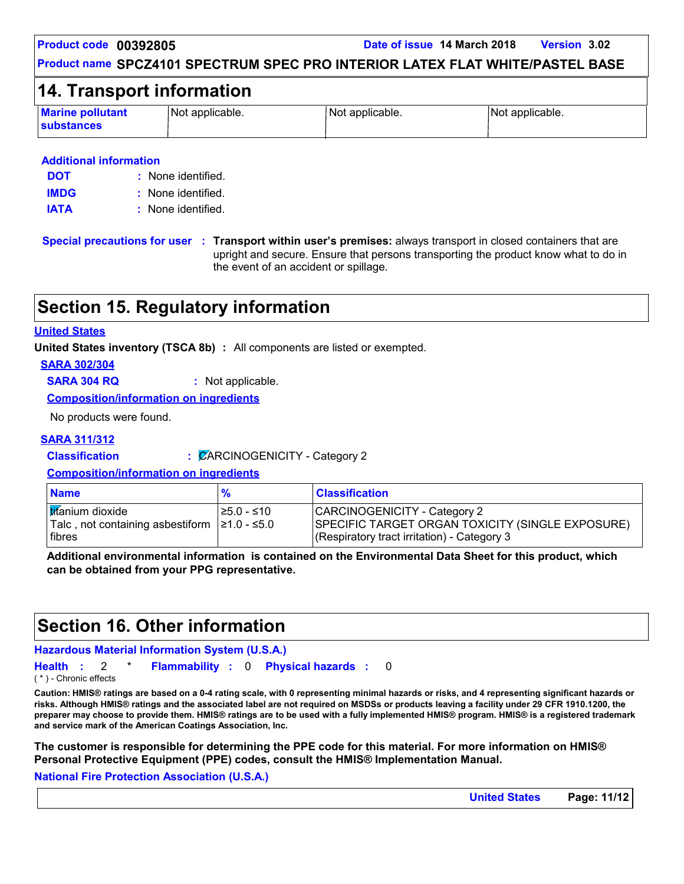**Product code 00392805 Date of issue 14 March 2018 Version 3.02**

#### **Product name SPCZ4101 SPECTRUM SPEC PRO INTERIOR LATEX FLAT WHITE/PASTEL BASE**

### **14. Transport information**

| <b>Marine pollutant</b><br><b>substances</b> | Not applicable. | Not applicable. | Not applicable. |
|----------------------------------------------|-----------------|-----------------|-----------------|
|----------------------------------------------|-----------------|-----------------|-----------------|

#### **Additional information**

| <b>DOT</b>  | : None identified. |
|-------------|--------------------|
| <b>IMDG</b> | : None identified. |
| <b>IATA</b> | : None identified. |

**Special precautions for user Transport within user's premises:** always transport in closed containers that are **:** upright and secure. Ensure that persons transporting the product know what to do in the event of an accident or spillage.

## **Section 15. Regulatory information**

#### **United States**

**United States inventory (TSCA 8b) :** All components are listed or exempted.

**SARA 302/304**

**SARA 304 RQ :** Not applicable.

**Composition/information on ingredients**

No products were found.

#### **SARA 311/312**

**Classification :** CARCINOGENICITY - Category 2

**Composition/information on ingredients**

| <b>Name</b>                                                                             |             | <b>Classification</b>                                                                                                           |  |  |
|-----------------------------------------------------------------------------------------|-------------|---------------------------------------------------------------------------------------------------------------------------------|--|--|
| titanium dioxide<br>  Talc, not containing asbestiform   ≥1.0 - ≤5.0<br><b>l</b> fibres | l≥5.0 - ≤10 | CARCINOGENICITY - Category 2<br>SPECIFIC TARGET ORGAN TOXICITY (SINGLE EXPOSURE)<br>(Respiratory tract irritation) - Category 3 |  |  |

**Additional environmental information is contained on the Environmental Data Sheet for this product, which can be obtained from your PPG representative.**

## **Section 16. Other information**

#### **Hazardous Material Information System (U.S.A.)**

0 **Health Flammability Physical hazards :** 2 \* **: :** 0 ( \* ) - Chronic effects

**Caution: HMIS® ratings are based on a 0-4 rating scale, with 0 representing minimal hazards or risks, and 4 representing significant hazards or risks. Although HMIS® ratings and the associated label are not required on MSDSs or products leaving a facility under 29 CFR 1910.1200, the preparer may choose to provide them. HMIS® ratings are to be used with a fully implemented HMIS® program. HMIS® is a registered trademark and service mark of the American Coatings Association, Inc.**

**The customer is responsible for determining the PPE code for this material. For more information on HMIS® Personal Protective Equipment (PPE) codes, consult the HMIS® Implementation Manual.**

#### **National Fire Protection Association (U.S.A.)**

**United States Page: 11/12**